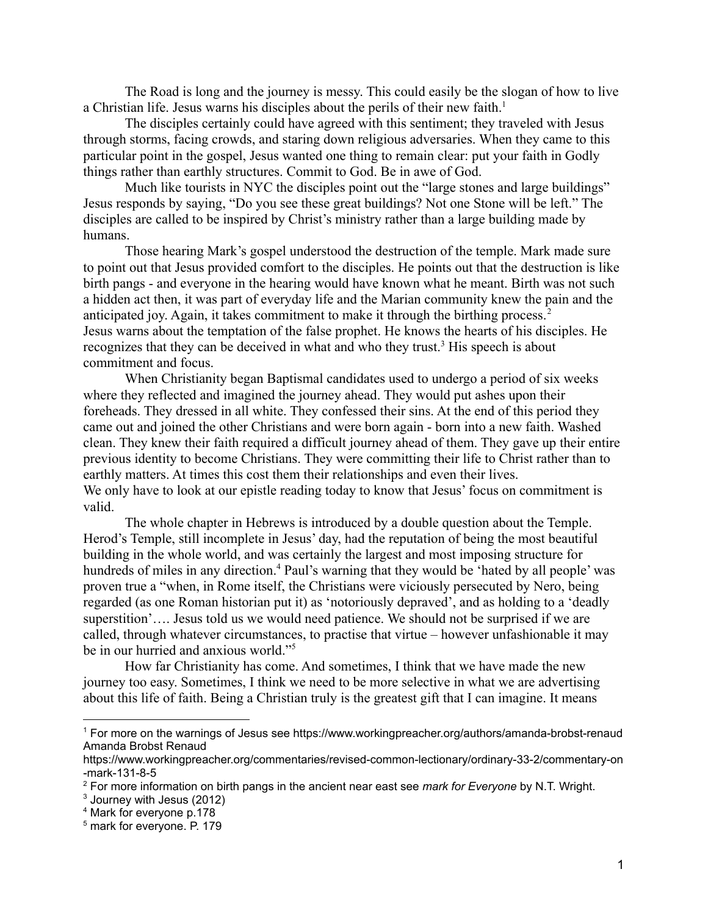The Road is long and the journey is messy. This could easily be the slogan of how to live a Christian life. Jesus warns his disciples about the perils of their new faith.<sup>1</sup>

The disciples certainly could have agreed with this sentiment; they traveled with Jesus through storms, facing crowds, and staring down religious adversaries. When they came to this particular point in the gospel, Jesus wanted one thing to remain clear: put your faith in Godly things rather than earthly structures. Commit to God. Be in awe of God.

Much like tourists in NYC the disciples point out the "large stones and large buildings" Jesus responds by saying, "Do you see these great buildings? Not one Stone will be left." The disciples are called to be inspired by Christ's ministry rather than a large building made by humans.

Those hearing Mark's gospel understood the destruction of the temple. Mark made sure to point out that Jesus provided comfort to the disciples. He points out that the destruction is like birth pangs - and everyone in the hearing would have known what he meant. Birth was not such a hidden act then, it was part of everyday life and the Marian community knew the pain and the anticipated joy. Again, it takes commitment to make it through the birthing process. <sup>2</sup> Jesus warns about the temptation of the false prophet. He knows the hearts of his disciples. He recognizes that they can be deceived in what and who they trust.<sup>3</sup> His speech is about commitment and focus.

When Christianity began Baptismal candidates used to undergo a period of six weeks where they reflected and imagined the journey ahead. They would put ashes upon their foreheads. They dressed in all white. They confessed their sins. At the end of this period they came out and joined the other Christians and were born again - born into a new faith. Washed clean. They knew their faith required a difficult journey ahead of them. They gave up their entire previous identity to become Christians. They were committing their life to Christ rather than to earthly matters. At times this cost them their relationships and even their lives. We only have to look at our epistle reading today to know that Jesus' focus on commitment is valid.

The whole chapter in Hebrews is introduced by a double question about the Temple. Herod's Temple, still incomplete in Jesus' day, had the reputation of being the most beautiful building in the whole world, and was certainly the largest and most imposing structure for hundreds of miles in any direction.<sup>4</sup> Paul's warning that they would be 'hated by all people' was proven true a "when, in Rome itself, the Christians were viciously persecuted by Nero, being regarded (as one Roman historian put it) as 'notoriously depraved', and as holding to a 'deadly superstition'…. Jesus told us we would need patience. We should not be surprised if we are called, through whatever circumstances, to practise that virtue – however unfashionable it may be in our hurried and anxious world."<sup>5</sup>

How far Christianity has come. And sometimes, I think that we have made the new journey too easy. Sometimes, I think we need to be more selective in what we are advertising about this life of faith. Being a Christian truly is the greatest gift that I can imagine. It means

<sup>1</sup> For more on the warnings of Jesus see https://www.workingpreacher.org/authors/amanda-brobst-renaud Amanda Brobst Renaud

https://www.workingpreacher.org/commentaries/revised-common-lectionary/ordinary-33-2/commentary-on -mark-131-8-5

<sup>2</sup> For more information on birth pangs in the ancient near east see *mark for Everyone* by N.T. Wright.

<sup>3</sup> Journey with Jesus (2012)

<sup>4</sup> Mark for everyone p.178

<sup>5</sup> mark for everyone. P. 179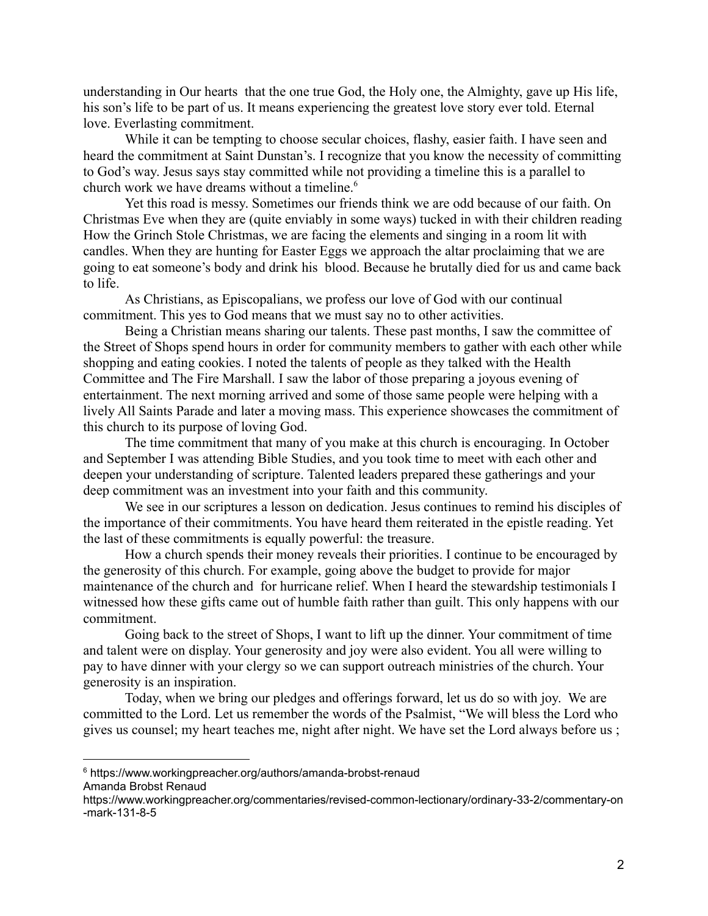understanding in Our hearts that the one true God, the Holy one, the Almighty, gave up His life, his son's life to be part of us. It means experiencing the greatest love story ever told. Eternal love. Everlasting commitment.

While it can be tempting to choose secular choices, flashy, easier faith. I have seen and heard the commitment at Saint Dunstan's. I recognize that you know the necessity of committing to God's way. Jesus says stay committed while not providing a timeline this is a parallel to church work we have dreams without a timeline.<sup>6</sup>

Yet this road is messy. Sometimes our friends think we are odd because of our faith. On Christmas Eve when they are (quite enviably in some ways) tucked in with their children reading How the Grinch Stole Christmas, we are facing the elements and singing in a room lit with candles. When they are hunting for Easter Eggs we approach the altar proclaiming that we are going to eat someone's body and drink his blood. Because he brutally died for us and came back to life.

As Christians, as Episcopalians, we profess our love of God with our continual commitment. This yes to God means that we must say no to other activities.

Being a Christian means sharing our talents. These past months, I saw the committee of the Street of Shops spend hours in order for community members to gather with each other while shopping and eating cookies. I noted the talents of people as they talked with the Health Committee and The Fire Marshall. I saw the labor of those preparing a joyous evening of entertainment. The next morning arrived and some of those same people were helping with a lively All Saints Parade and later a moving mass. This experience showcases the commitment of this church to its purpose of loving God.

The time commitment that many of you make at this church is encouraging. In October and September I was attending Bible Studies, and you took time to meet with each other and deepen your understanding of scripture. Talented leaders prepared these gatherings and your deep commitment was an investment into your faith and this community.

We see in our scriptures a lesson on dedication. Jesus continues to remind his disciples of the importance of their commitments. You have heard them reiterated in the epistle reading. Yet the last of these commitments is equally powerful: the treasure.

How a church spends their money reveals their priorities. I continue to be encouraged by the generosity of this church. For example, going above the budget to provide for major maintenance of the church and for hurricane relief. When I heard the stewardship testimonials I witnessed how these gifts came out of humble faith rather than guilt. This only happens with our commitment.

Going back to the street of Shops, I want to lift up the dinner. Your commitment of time and talent were on display. Your generosity and joy were also evident. You all were willing to pay to have dinner with your clergy so we can support outreach ministries of the church. Your generosity is an inspiration.

Today, when we bring our pledges and offerings forward, let us do so with joy. We are committed to the Lord. Let us remember the words of the Psalmist, "We will bless the Lord who gives us counsel; my heart teaches me, night after night. We have set the Lord always before us ;

<sup>6</sup> https://www.workingpreacher.org/authors/amanda-brobst-renaud Amanda Brobst Renaud

https://www.workingpreacher.org/commentaries/revised-common-lectionary/ordinary-33-2/commentary-on -mark-131-8-5